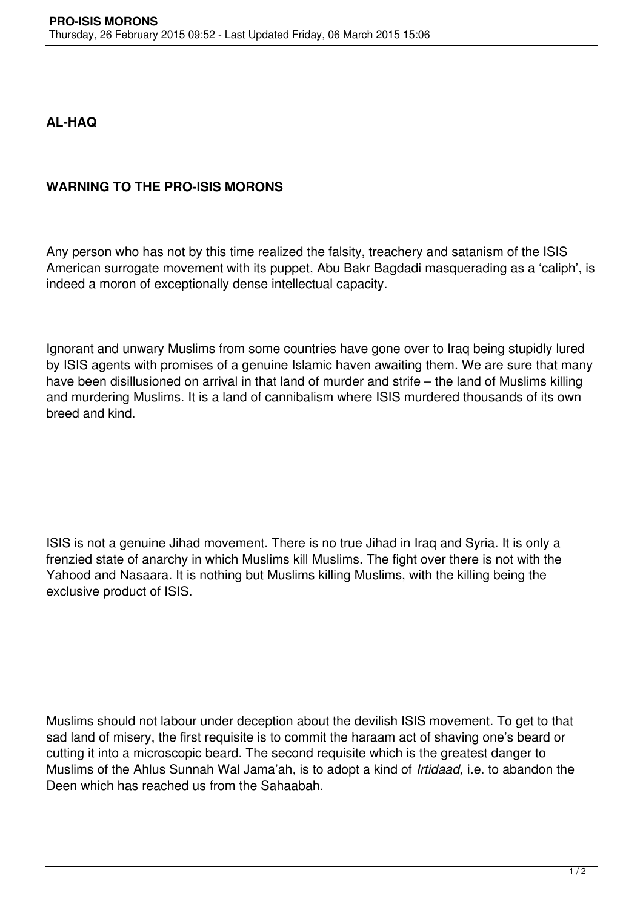## **AL-HAQ**

## **WARNING TO THE PRO-ISIS MORONS**

Any person who has not by this time realized the falsity, treachery and satanism of the ISIS American surrogate movement with its puppet, Abu Bakr Bagdadi masquerading as a 'caliph', is indeed a moron of exceptionally dense intellectual capacity.

Ignorant and unwary Muslims from some countries have gone over to Iraq being stupidly lured by ISIS agents with promises of a genuine Islamic haven awaiting them. We are sure that many have been disillusioned on arrival in that land of murder and strife – the land of Muslims killing and murdering Muslims. It is a land of cannibalism where ISIS murdered thousands of its own breed and kind.

ISIS is not a genuine Jihad movement. There is no true Jihad in Iraq and Syria. It is only a frenzied state of anarchy in which Muslims kill Muslims. The fight over there is not with the Yahood and Nasaara. It is nothing but Muslims killing Muslims, with the killing being the exclusive product of ISIS.

Muslims should not labour under deception about the devilish ISIS movement. To get to that sad land of misery, the first requisite is to commit the haraam act of shaving one's beard or cutting it into a microscopic beard. The second requisite which is the greatest danger to Muslims of the Ahlus Sunnah Wal Jama'ah, is to adopt a kind of *Irtidaad,* i.e. to abandon the Deen which has reached us from the Sahaabah.